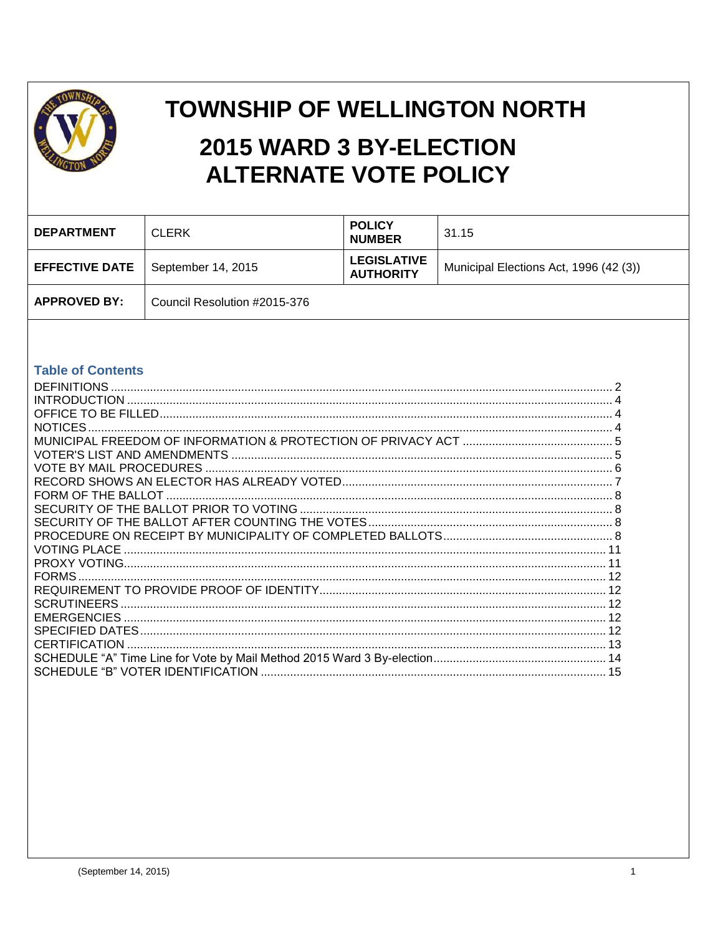

# **TOWNSHIP OF WELLINGTON NORTH** 2015 WARD 3 BY-ELECTION **ALTERNATE VOTE POLICY**

| <b>DEPARTMENT</b>     | <b>CLERK</b>                 | <b>POLICY</b><br><b>NUMBER</b>         | 31.15                                  |
|-----------------------|------------------------------|----------------------------------------|----------------------------------------|
| <b>EFFECTIVE DATE</b> | September 14, 2015           | <b>LEGISLATIVE</b><br><b>AUTHORITY</b> | Municipal Elections Act, 1996 (42 (3)) |
| <b>APPROVED BY:</b>   | Council Resolution #2015-376 |                                        |                                        |

#### **Table of Contents**

| <b>DEFINITIONS</b>                                                    |  |
|-----------------------------------------------------------------------|--|
|                                                                       |  |
|                                                                       |  |
| <b>NOTICES</b>                                                        |  |
|                                                                       |  |
|                                                                       |  |
|                                                                       |  |
|                                                                       |  |
|                                                                       |  |
|                                                                       |  |
|                                                                       |  |
|                                                                       |  |
| <b>VOTING PLACE</b>                                                   |  |
|                                                                       |  |
| <b>FORMS</b>                                                          |  |
|                                                                       |  |
| <b>SCRUTINEERS</b>                                                    |  |
|                                                                       |  |
|                                                                       |  |
| CERTIFICATION                                                         |  |
|                                                                       |  |
| SCHEDULE "B" VOTER IDENTIFICATION …………………………………………………………………………………………… |  |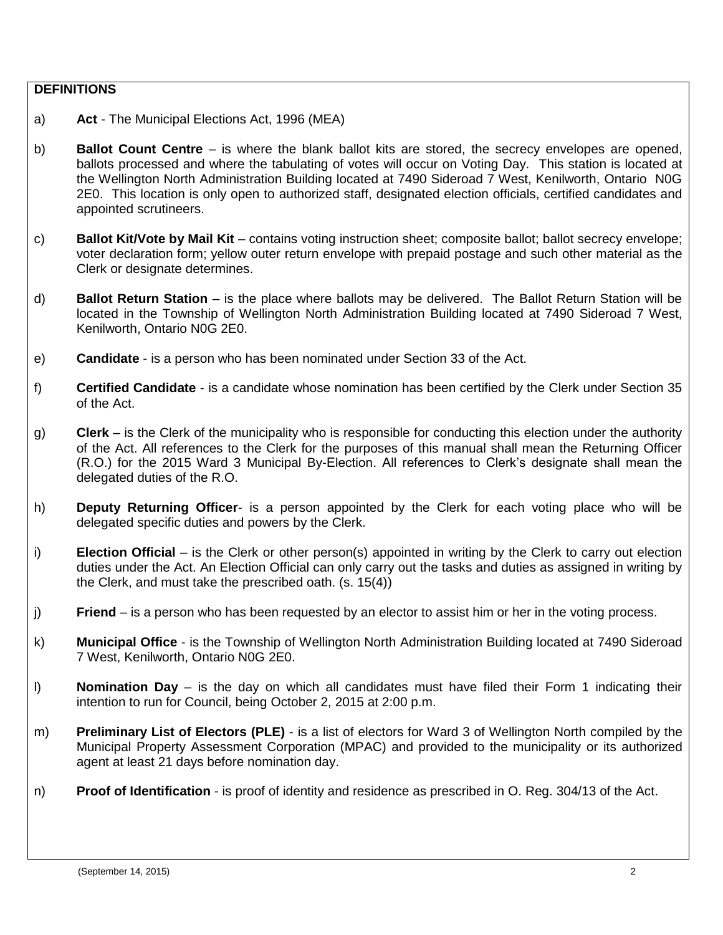#### <span id="page-1-0"></span>**DEFINITIONS**

- a) **Act** The Municipal Elections Act, 1996 (MEA)
- b) **Ballot Count Centre**  is where the blank ballot kits are stored, the secrecy envelopes are opened, ballots processed and where the tabulating of votes will occur on Voting Day. This station is located at the Wellington North Administration Building located at 7490 Sideroad 7 West, Kenilworth, Ontario N0G 2E0. This location is only open to authorized staff, designated election officials, certified candidates and appointed scrutineers.
- c) **Ballot Kit/Vote by Mail Kit** contains voting instruction sheet; composite ballot; ballot secrecy envelope; voter declaration form; yellow outer return envelope with prepaid postage and such other material as the Clerk or designate determines.
- d) **Ballot Return Station**  is the place where ballots may be delivered. The Ballot Return Station will be located in the Township of Wellington North Administration Building located at 7490 Sideroad 7 West, Kenilworth, Ontario N0G 2E0.
- e) **Candidate** is a person who has been nominated under Section 33 of the Act.
- f) **Certified Candidate** is a candidate whose nomination has been certified by the Clerk under Section 35 of the Act.
- g) **Clerk** is the Clerk of the municipality who is responsible for conducting this election under the authority of the Act. All references to the Clerk for the purposes of this manual shall mean the Returning Officer (R.O.) for the 2015 Ward 3 Municipal By-Election. All references to Clerk's designate shall mean the delegated duties of the R.O.
- h) **Deputy Returning Officer** is a person appointed by the Clerk for each voting place who will be delegated specific duties and powers by the Clerk.
- i) **Election Official** is the Clerk or other person(s) appointed in writing by the Clerk to carry out election duties under the Act. An Election Official can only carry out the tasks and duties as assigned in writing by the Clerk, and must take the prescribed oath. (s. 15(4))
- j) **Friend** is a person who has been requested by an elector to assist him or her in the voting process.
- k) **Municipal Office** is the Township of Wellington North Administration Building located at 7490 Sideroad 7 West, Kenilworth, Ontario N0G 2E0.
- l) **Nomination Day** is the day on which all candidates must have filed their Form 1 indicating their intention to run for Council, being October 2, 2015 at 2:00 p.m.
- m) **Preliminary List of Electors (PLE)** is a list of electors for Ward 3 of Wellington North compiled by the Municipal Property Assessment Corporation (MPAC) and provided to the municipality or its authorized agent at least 21 days before nomination day.
- n) **Proof of Identification** is proof of identity and residence as prescribed in O. Reg. 304/13 of the Act.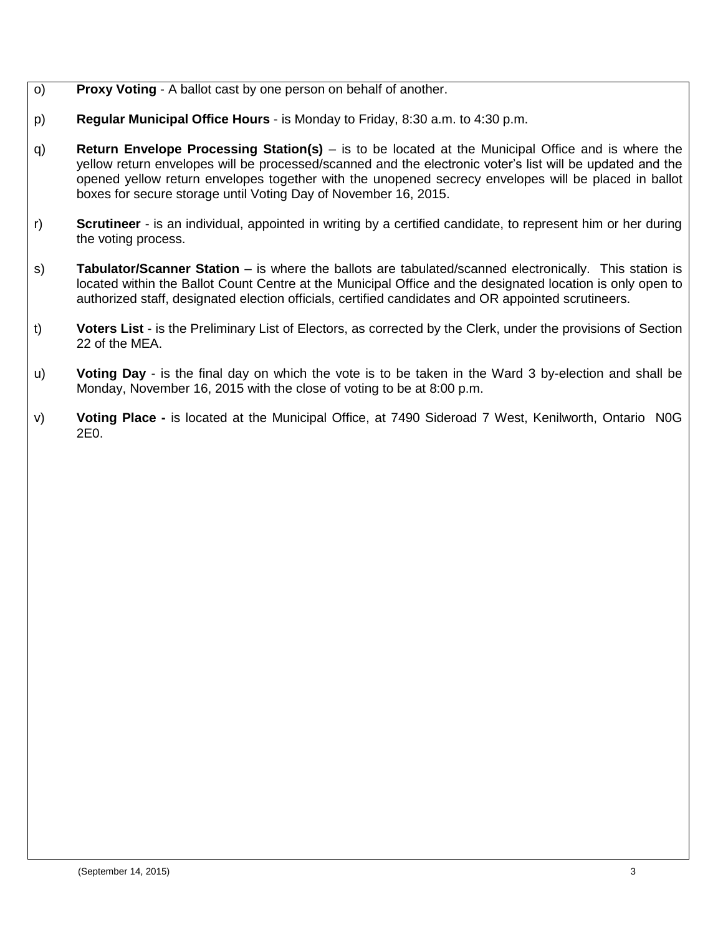- o) **Proxy Voting** A ballot cast by one person on behalf of another.
- p) **Regular Municipal Office Hours** is Monday to Friday, 8:30 a.m. to 4:30 p.m.
- q) **Return Envelope Processing Station(s)** is to be located at the Municipal Office and is where the yellow return envelopes will be processed/scanned and the electronic voter's list will be updated and the opened yellow return envelopes together with the unopened secrecy envelopes will be placed in ballot boxes for secure storage until Voting Day of November 16, 2015.
- r) **Scrutineer** is an individual, appointed in writing by a certified candidate, to represent him or her during the voting process.
- s) **Tabulator/Scanner Station**  is where the ballots are tabulated/scanned electronically. This station is located within the Ballot Count Centre at the Municipal Office and the designated location is only open to authorized staff, designated election officials, certified candidates and OR appointed scrutineers.
- t) **Voters List** is the Preliminary List of Electors, as corrected by the Clerk, under the provisions of Section 22 of the MEA.
- u) **Voting Day** is the final day on which the vote is to be taken in the Ward 3 by-election and shall be Monday, November 16, 2015 with the close of voting to be at 8:00 p.m.
- v) **Voting Place -** is located at the Municipal Office, at 7490 Sideroad 7 West, Kenilworth, Ontario N0G 2E0.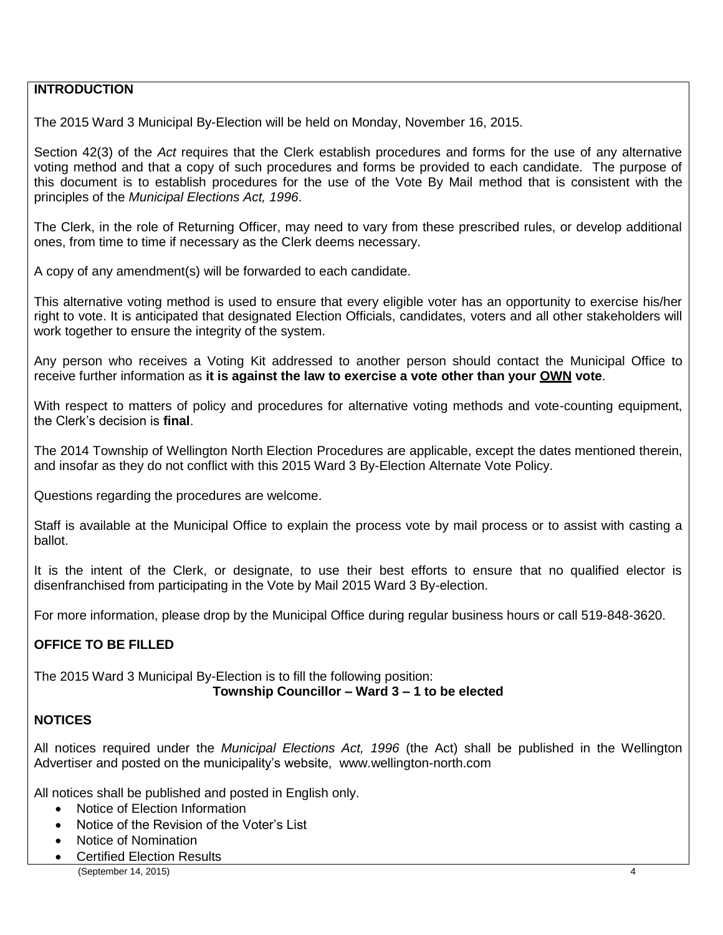## <span id="page-3-0"></span>**INTRODUCTION**

The 2015 Ward 3 Municipal By-Election will be held on Monday, November 16, 2015.

Section 42(3) of the *Act* requires that the Clerk establish procedures and forms for the use of any alternative voting method and that a copy of such procedures and forms be provided to each candidate. The purpose of this document is to establish procedures for the use of the Vote By Mail method that is consistent with the principles of the *Municipal Elections Act, 1996*.

The Clerk, in the role of Returning Officer, may need to vary from these prescribed rules, or develop additional ones, from time to time if necessary as the Clerk deems necessary.

A copy of any amendment(s) will be forwarded to each candidate.

This alternative voting method is used to ensure that every eligible voter has an opportunity to exercise his/her right to vote. It is anticipated that designated Election Officials, candidates, voters and all other stakeholders will work together to ensure the integrity of the system.

Any person who receives a Voting Kit addressed to another person should contact the Municipal Office to receive further information as **it is against the law to exercise a vote other than your OWN vote**.

With respect to matters of policy and procedures for alternative voting methods and vote-counting equipment, the Clerk's decision is **final**.

The 2014 Township of Wellington North Election Procedures are applicable, except the dates mentioned therein, and insofar as they do not conflict with this 2015 Ward 3 By-Election Alternate Vote Policy.

Questions regarding the procedures are welcome.

Staff is available at the Municipal Office to explain the process vote by mail process or to assist with casting a ballot.

It is the intent of the Clerk, or designate, to use their best efforts to ensure that no qualified elector is disenfranchised from participating in the Vote by Mail 2015 Ward 3 By-election.

For more information, please drop by the Municipal Office during regular business hours or call 519-848-3620.

#### <span id="page-3-1"></span>**OFFICE TO BE FILLED**

The 2015 Ward 3 Municipal By-Election is to fill the following position:

# **Township Councillor – Ward 3 – 1 to be elected**

## <span id="page-3-2"></span>**NOTICES**

All notices required under the *Municipal Elections Act, 1996* (the Act) shall be published in the Wellington Advertiser and posted on the municipality's website, www.wellington-north.com

All notices shall be published and posted in English only.

- Notice of Election Information
- Notice of the Revision of the Voter's List
- Notice of Nomination
- Certified Election Results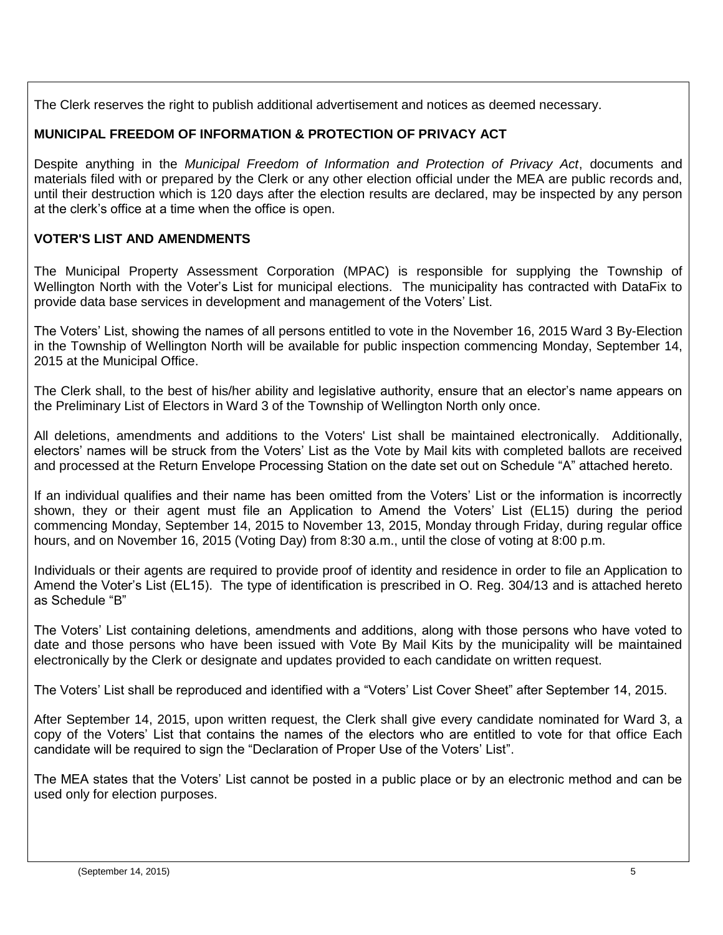The Clerk reserves the right to publish additional advertisement and notices as deemed necessary.

## <span id="page-4-0"></span>**MUNICIPAL FREEDOM OF INFORMATION & PROTECTION OF PRIVACY ACT**

Despite anything in the *Municipal Freedom of Information and Protection of Privacy Act*, documents and materials filed with or prepared by the Clerk or any other election official under the MEA are public records and, until their destruction which is 120 days after the election results are declared, may be inspected by any person at the clerk's office at a time when the office is open.

# <span id="page-4-1"></span>**VOTER'S LIST AND AMENDMENTS**

The Municipal Property Assessment Corporation (MPAC) is responsible for supplying the Township of Wellington North with the Voter's List for municipal elections. The municipality has contracted with DataFix to provide data base services in development and management of the Voters' List.

The Voters' List, showing the names of all persons entitled to vote in the November 16, 2015 Ward 3 By-Election in the Township of Wellington North will be available for public inspection commencing Monday, September 14, 2015 at the Municipal Office.

The Clerk shall, to the best of his/her ability and legislative authority, ensure that an elector's name appears on the Preliminary List of Electors in Ward 3 of the Township of Wellington North only once.

All deletions, amendments and additions to the Voters' List shall be maintained electronically. Additionally, electors' names will be struck from the Voters' List as the Vote by Mail kits with completed ballots are received and processed at the Return Envelope Processing Station on the date set out on Schedule "A" attached hereto.

If an individual qualifies and their name has been omitted from the Voters' List or the information is incorrectly shown, they or their agent must file an Application to Amend the Voters' List (EL15) during the period commencing Monday, September 14, 2015 to November 13, 2015, Monday through Friday, during regular office hours, and on November 16, 2015 (Voting Day) from 8:30 a.m., until the close of voting at 8:00 p.m.

Individuals or their agents are required to provide proof of identity and residence in order to file an Application to Amend the Voter's List (EL15). The type of identification is prescribed in O. Reg. 304/13 and is attached hereto as Schedule "B"

The Voters' List containing deletions, amendments and additions, along with those persons who have voted to date and those persons who have been issued with Vote By Mail Kits by the municipality will be maintained electronically by the Clerk or designate and updates provided to each candidate on written request.

The Voters' List shall be reproduced and identified with a "Voters' List Cover Sheet" after September 14, 2015.

After September 14, 2015, upon written request, the Clerk shall give every candidate nominated for Ward 3, a copy of the Voters' List that contains the names of the electors who are entitled to vote for that office Each candidate will be required to sign the "Declaration of Proper Use of the Voters' List".

The MEA states that the Voters' List cannot be posted in a public place or by an electronic method and can be used only for election purposes.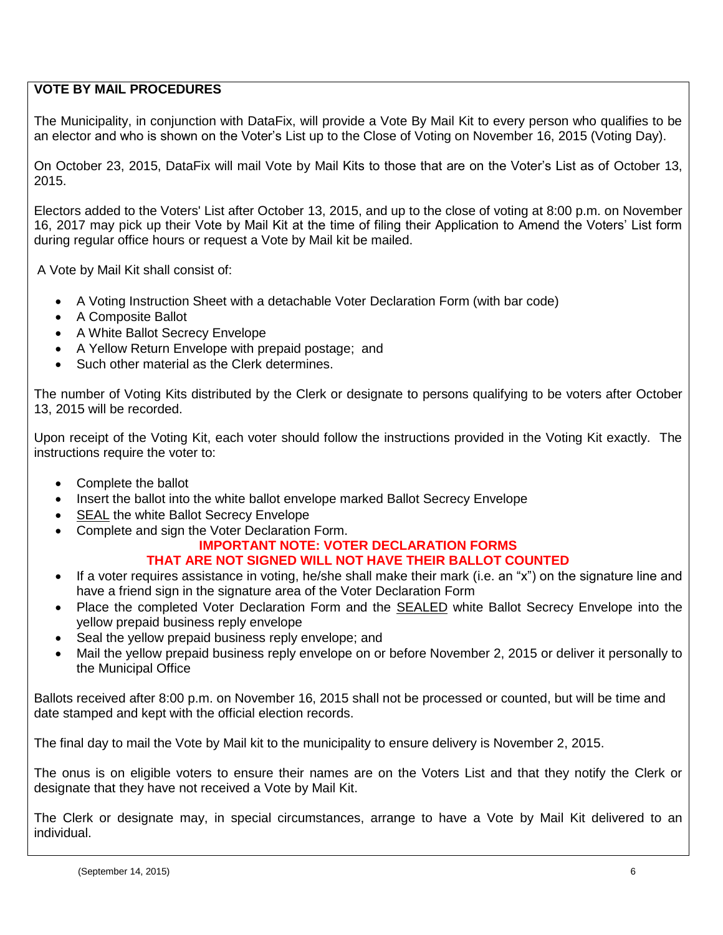## <span id="page-5-0"></span>**VOTE BY MAIL PROCEDURES**

The Municipality, in conjunction with DataFix, will provide a Vote By Mail Kit to every person who qualifies to be an elector and who is shown on the Voter's List up to the Close of Voting on November 16, 2015 (Voting Day).

On October 23, 2015, DataFix will mail Vote by Mail Kits to those that are on the Voter's List as of October 13, 2015.

Electors added to the Voters' List after October 13, 2015, and up to the close of voting at 8:00 p.m. on November 16, 2017 may pick up their Vote by Mail Kit at the time of filing their Application to Amend the Voters' List form during regular office hours or request a Vote by Mail kit be mailed.

A Vote by Mail Kit shall consist of:

- A Voting Instruction Sheet with a detachable Voter Declaration Form (with bar code)
- A Composite Ballot
- A White Ballot Secrecy Envelope
- A Yellow Return Envelope with prepaid postage; and
- Such other material as the Clerk determines.

The number of Voting Kits distributed by the Clerk or designate to persons qualifying to be voters after October 13, 2015 will be recorded.

Upon receipt of the Voting Kit, each voter should follow the instructions provided in the Voting Kit exactly. The instructions require the voter to:

- Complete the ballot
- Insert the ballot into the white ballot envelope marked Ballot Secrecy Envelope
- SEAL the white Ballot Secrecy Envelope
- Complete and sign the Voter Declaration Form.

#### **IMPORTANT NOTE: VOTER DECLARATION FORMS THAT ARE NOT SIGNED WILL NOT HAVE THEIR BALLOT COUNTED**

- If a voter requires assistance in voting, he/she shall make their mark (i.e. an "x") on the signature line and have a friend sign in the signature area of the Voter Declaration Form
- Place the completed Voter Declaration Form and the SEALED white Ballot Secrecy Envelope into the yellow prepaid business reply envelope
- Seal the yellow prepaid business reply envelope; and
- Mail the yellow prepaid business reply envelope on or before November 2, 2015 or deliver it personally to the Municipal Office

Ballots received after 8:00 p.m. on November 16, 2015 shall not be processed or counted, but will be time and date stamped and kept with the official election records.

The final day to mail the Vote by Mail kit to the municipality to ensure delivery is November 2, 2015.

The onus is on eligible voters to ensure their names are on the Voters List and that they notify the Clerk or designate that they have not received a Vote by Mail Kit.

The Clerk or designate may, in special circumstances, arrange to have a Vote by Mail Kit delivered to an individual.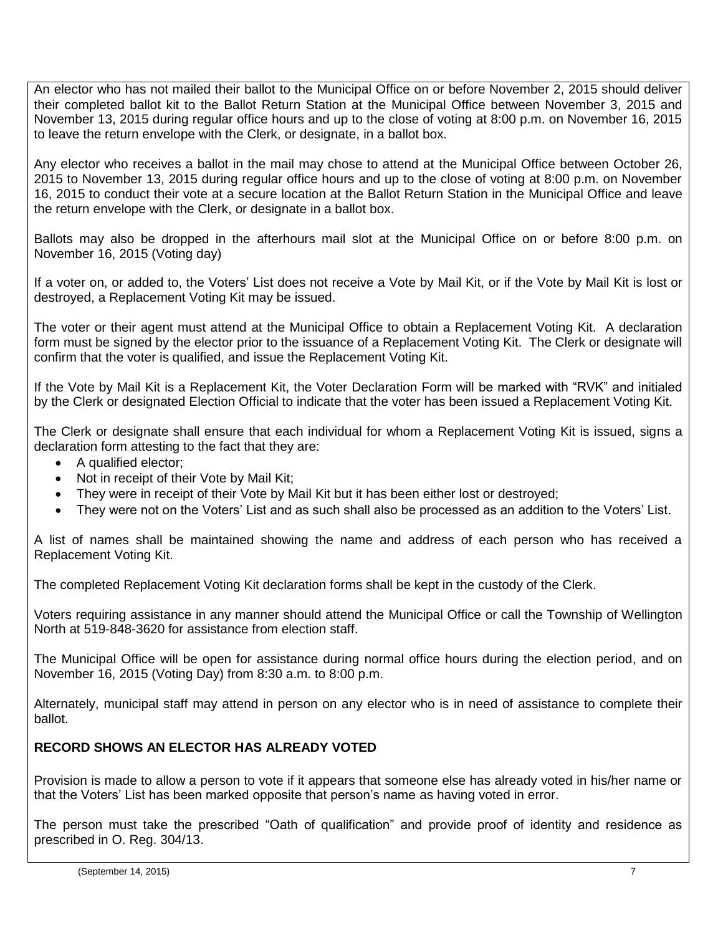An elector who has not mailed their ballot to the Municipal Office on or before November 2, 2015 should deliver their completed ballot kit to the Ballot Return Station at the Municipal Office between November 3, 2015 and November 13, 2015 during regular office hours and up to the close of voting at 8:00 p.m. on November 16, 2015 to leave the return envelope with the Clerk, or designate, in a ballot box.

Any elector who receives a ballot in the mail may chose to attend at the Municipal Office between October 26, 2015 to November 13, 2015 during regular office hours and up to the close of voting at 8:00 p.m. on November 16, 2015 to conduct their vote at a secure location at the Ballot Return Station in the Municipal Office and leave the return envelope with the Clerk, or designate in a ballot box.

Ballots may also be dropped in the afterhours mail slot at the Municipal Office on or before 8:00 p.m. on November 16, 2015 (Voting day)

If a voter on, or added to, the Voters' List does not receive a Vote by Mail Kit, or if the Vote by Mail Kit is lost or destroyed, a Replacement Voting Kit may be issued.

The voter or their agent must attend at the Municipal Office to obtain a Replacement Voting Kit. A declaration form must be signed by the elector prior to the issuance of a Replacement Voting Kit. The Clerk or designate will confirm that the voter is qualified, and issue the Replacement Voting Kit.

If the Vote by Mail Kit is a Replacement Kit, the Voter Declaration Form will be marked with "RVK" and initialed by the Clerk or designated Election Official to indicate that the voter has been issued a Replacement Voting Kit.

The Clerk or designate shall ensure that each individual for whom a Replacement Voting Kit is issued, signs a declaration form attesting to the fact that they are:

- A qualified elector;
- Not in receipt of their Vote by Mail Kit;
- They were in receipt of their Vote by Mail Kit but it has been either lost or destroyed;
- They were not on the Voters' List and as such shall also be processed as an addition to the Voters' List.

A list of names shall be maintained showing the name and address of each person who has received a Replacement Voting Kit.

The completed Replacement Voting Kit declaration forms shall be kept in the custody of the Clerk.

Voters requiring assistance in any manner should attend the Municipal Office or call the Township of Wellington North at 519-848-3620 for assistance from election staff.

The Municipal Office will be open for assistance during normal office hours during the election period, and on November 16, 2015 (Voting Day) from 8:30 a.m. to 8:00 p.m.

Alternately, municipal staff may attend in person on any elector who is in need of assistance to complete their ballot.

## <span id="page-6-0"></span>**RECORD SHOWS AN ELECTOR HAS ALREADY VOTED**

Provision is made to allow a person to vote if it appears that someone else has already voted in his/her name or that the Voters' List has been marked opposite that person's name as having voted in error.

The person must take the prescribed "Oath of qualification" and provide proof of identity and residence as prescribed in O. Reg. 304/13.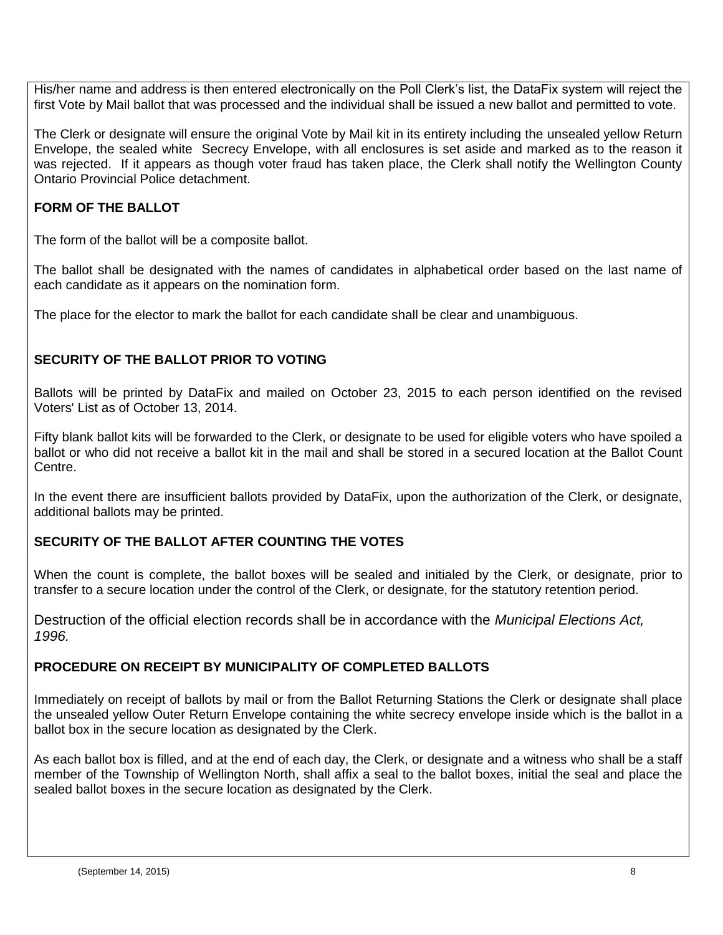His/her name and address is then entered electronically on the Poll Clerk's list, the DataFix system will reject the first Vote by Mail ballot that was processed and the individual shall be issued a new ballot and permitted to vote.

The Clerk or designate will ensure the original Vote by Mail kit in its entirety including the unsealed yellow Return Envelope, the sealed white Secrecy Envelope, with all enclosures is set aside and marked as to the reason it was rejected. If it appears as though voter fraud has taken place, the Clerk shall notify the Wellington County Ontario Provincial Police detachment.

# <span id="page-7-0"></span>**FORM OF THE BALLOT**

The form of the ballot will be a composite ballot.

The ballot shall be designated with the names of candidates in alphabetical order based on the last name of each candidate as it appears on the nomination form.

The place for the elector to mark the ballot for each candidate shall be clear and unambiguous.

# <span id="page-7-1"></span>**SECURITY OF THE BALLOT PRIOR TO VOTING**

Ballots will be printed by DataFix and mailed on October 23, 2015 to each person identified on the revised Voters' List as of October 13, 2014.

Fifty blank ballot kits will be forwarded to the Clerk, or designate to be used for eligible voters who have spoiled a ballot or who did not receive a ballot kit in the mail and shall be stored in a secured location at the Ballot Count Centre.

In the event there are insufficient ballots provided by DataFix, upon the authorization of the Clerk, or designate, additional ballots may be printed.

# <span id="page-7-2"></span>**SECURITY OF THE BALLOT AFTER COUNTING THE VOTES**

When the count is complete, the ballot boxes will be sealed and initialed by the Clerk, or designate, prior to transfer to a secure location under the control of the Clerk, or designate, for the statutory retention period.

Destruction of the official election records shall be in accordance with the *Municipal Elections Act, 1996.*

## <span id="page-7-3"></span>**PROCEDURE ON RECEIPT BY MUNICIPALITY OF COMPLETED BALLOTS**

Immediately on receipt of ballots by mail or from the Ballot Returning Stations the Clerk or designate shall place the unsealed yellow Outer Return Envelope containing the white secrecy envelope inside which is the ballot in a ballot box in the secure location as designated by the Clerk.

As each ballot box is filled, and at the end of each day, the Clerk, or designate and a witness who shall be a staff member of the Township of Wellington North, shall affix a seal to the ballot boxes, initial the seal and place the sealed ballot boxes in the secure location as designated by the Clerk.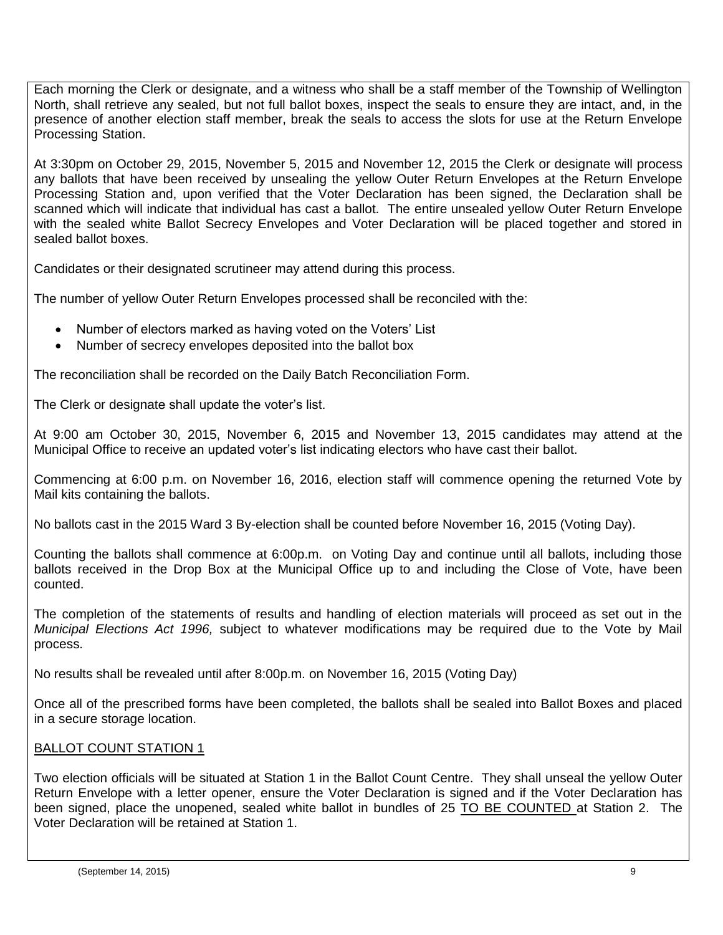Each morning the Clerk or designate, and a witness who shall be a staff member of the Township of Wellington North, shall retrieve any sealed, but not full ballot boxes, inspect the seals to ensure they are intact, and, in the presence of another election staff member, break the seals to access the slots for use at the Return Envelope Processing Station.

At 3:30pm on October 29, 2015, November 5, 2015 and November 12, 2015 the Clerk or designate will process any ballots that have been received by unsealing the yellow Outer Return Envelopes at the Return Envelope Processing Station and, upon verified that the Voter Declaration has been signed, the Declaration shall be scanned which will indicate that individual has cast a ballot. The entire unsealed yellow Outer Return Envelope with the sealed white Ballot Secrecy Envelopes and Voter Declaration will be placed together and stored in sealed ballot boxes.

Candidates or their designated scrutineer may attend during this process.

The number of yellow Outer Return Envelopes processed shall be reconciled with the:

- Number of electors marked as having voted on the Voters' List
- Number of secrecy envelopes deposited into the ballot box

The reconciliation shall be recorded on the Daily Batch Reconciliation Form.

The Clerk or designate shall update the voter's list.

At 9:00 am October 30, 2015, November 6, 2015 and November 13, 2015 candidates may attend at the Municipal Office to receive an updated voter's list indicating electors who have cast their ballot.

Commencing at 6:00 p.m. on November 16, 2016, election staff will commence opening the returned Vote by Mail kits containing the ballots.

No ballots cast in the 2015 Ward 3 By-election shall be counted before November 16, 2015 (Voting Day).

Counting the ballots shall commence at 6:00p.m. on Voting Day and continue until all ballots, including those ballots received in the Drop Box at the Municipal Office up to and including the Close of Vote, have been counted.

The completion of the statements of results and handling of election materials will proceed as set out in the *Municipal Elections Act 1996,* subject to whatever modifications may be required due to the Vote by Mail process.

No results shall be revealed until after 8:00p.m. on November 16, 2015 (Voting Day)

Once all of the prescribed forms have been completed, the ballots shall be sealed into Ballot Boxes and placed in a secure storage location.

## BALLOT COUNT STATION 1

Two election officials will be situated at Station 1 in the Ballot Count Centre. They shall unseal the yellow Outer Return Envelope with a letter opener, ensure the Voter Declaration is signed and if the Voter Declaration has been signed, place the unopened, sealed white ballot in bundles of 25 TO BE COUNTED at Station 2. The Voter Declaration will be retained at Station 1.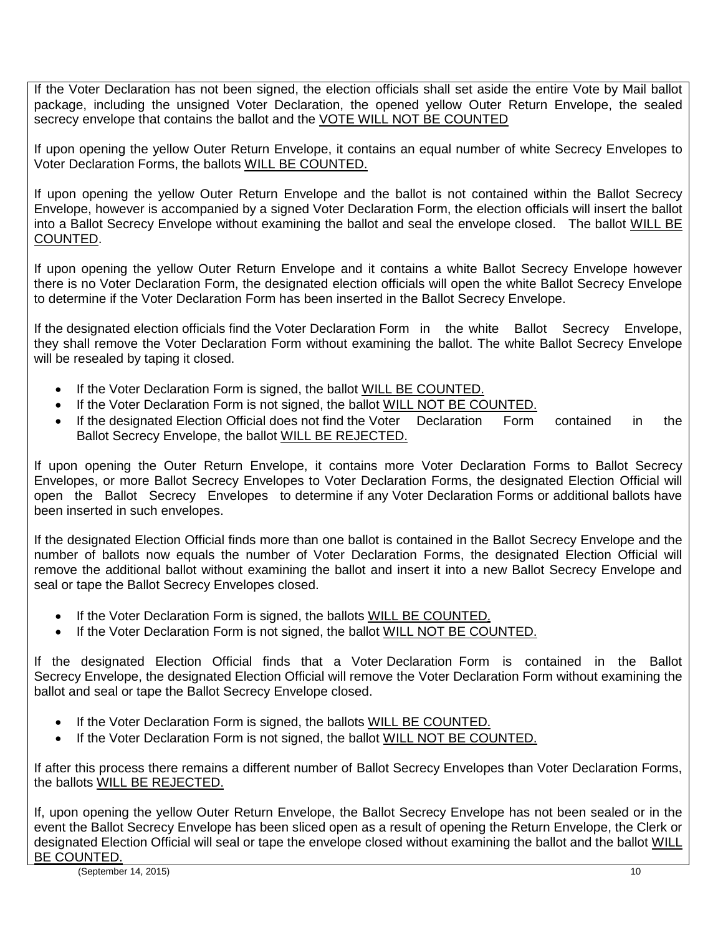If the Voter Declaration has not been signed, the election officials shall set aside the entire Vote by Mail ballot package, including the unsigned Voter Declaration, the opened yellow Outer Return Envelope, the sealed secrecy envelope that contains the ballot and the VOTE WILL NOT BE COUNTED

If upon opening the yellow Outer Return Envelope, it contains an equal number of white Secrecy Envelopes to Voter Declaration Forms, the ballots WILL BE COUNTED.

If upon opening the yellow Outer Return Envelope and the ballot is not contained within the Ballot Secrecy Envelope, however is accompanied by a signed Voter Declaration Form, the election officials will insert the ballot into a Ballot Secrecy Envelope without examining the ballot and seal the envelope closed. The ballot WILL BE COUNTED.

If upon opening the yellow Outer Return Envelope and it contains a white Ballot Secrecy Envelope however there is no Voter Declaration Form, the designated election officials will open the white Ballot Secrecy Envelope to determine if the Voter Declaration Form has been inserted in the Ballot Secrecy Envelope.

If the designated election officials find the Voter Declaration Form in the white Ballot Secrecy Envelope, they shall remove the Voter Declaration Form without examining the ballot. The white Ballot Secrecy Envelope will be resealed by taping it closed.

- If the Voter Declaration Form is signed, the ballot WILL BE COUNTED.
- If the Voter Declaration Form is not signed, the ballot WILL NOT BE COUNTED.
- If the designated Election Official does not find the Voter Declaration Form contained in the Ballot Secrecy Envelope, the ballot WILL BE REJECTED.

If upon opening the Outer Return Envelope, it contains more Voter Declaration Forms to Ballot Secrecy Envelopes, or more Ballot Secrecy Envelopes to Voter Declaration Forms, the designated Election Official will open the Ballot Secrecy Envelopes to determine if any Voter Declaration Forms or additional ballots have been inserted in such envelopes.

If the designated Election Official finds more than one ballot is contained in the Ballot Secrecy Envelope and the number of ballots now equals the number of Voter Declaration Forms, the designated Election Official will remove the additional ballot without examining the ballot and insert it into a new Ballot Secrecy Envelope and seal or tape the Ballot Secrecy Envelopes closed.

- If the Voter Declaration Form is signed, the ballots WILL BE COUNTED.
- If the Voter Declaration Form is not signed, the ballot WILL NOT BE COUNTED.

If the designated Election Official finds that a Voter Declaration Form is contained in the Ballot Secrecy Envelope, the designated Election Official will remove the Voter Declaration Form without examining the ballot and seal or tape the Ballot Secrecy Envelope closed.

- If the Voter Declaration Form is signed, the ballots WILL BE COUNTED.
- If the Voter Declaration Form is not signed, the ballot WILL NOT BE COUNTED.

If after this process there remains a different number of Ballot Secrecy Envelopes than Voter Declaration Forms, the ballots WILL BE REJECTED.

If, upon opening the yellow Outer Return Envelope, the Ballot Secrecy Envelope has not been sealed or in the event the Ballot Secrecy Envelope has been sliced open as a result of opening the Return Envelope, the Clerk or designated Election Official will seal or tape the envelope closed without examining the ballot and the ballot WILL BE COUNTED.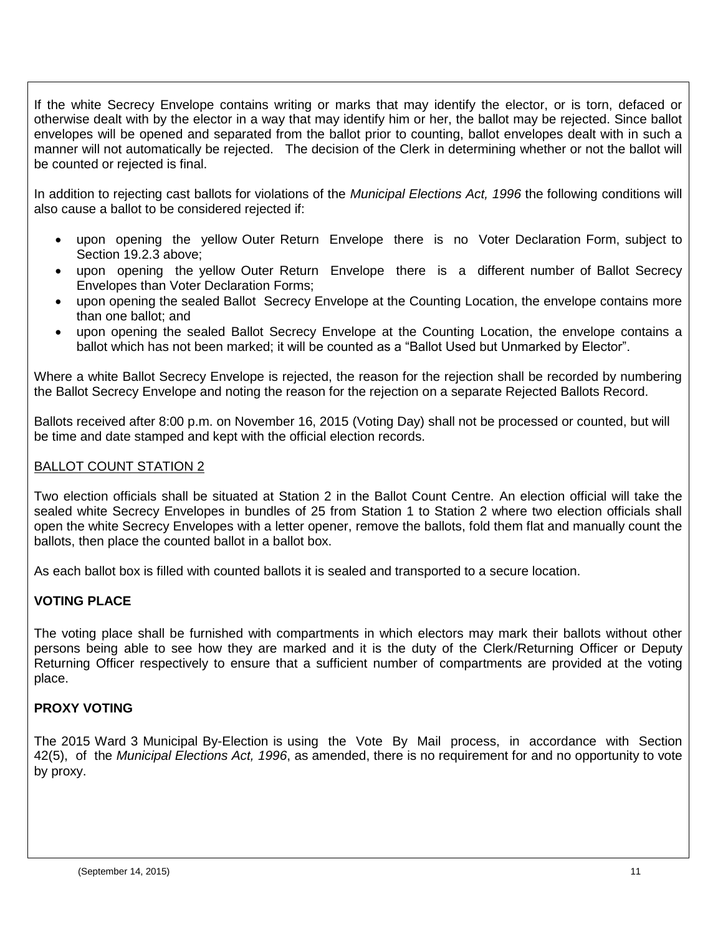If the white Secrecy Envelope contains writing or marks that may identify the elector, or is torn, defaced or otherwise dealt with by the elector in a way that may identify him or her, the ballot may be rejected. Since ballot envelopes will be opened and separated from the ballot prior to counting, ballot envelopes dealt with in such a manner will not automatically be rejected. The decision of the Clerk in determining whether or not the ballot will be counted or rejected is final.

In addition to rejecting cast ballots for violations of the *Municipal Elections Act, 1996* the following conditions will also cause a ballot to be considered rejected if:

- upon opening the yellow Outer Return Envelope there is no Voter Declaration Form, subject to Section 19.2.3 above;
- upon opening the yellow Outer Return Envelope there is a different number of Ballot Secrecy Envelopes than Voter Declaration Forms;
- upon opening the sealed Ballot Secrecy Envelope at the Counting Location, the envelope contains more than one ballot; and
- upon opening the sealed Ballot Secrecy Envelope at the Counting Location, the envelope contains a ballot which has not been marked; it will be counted as a "Ballot Used but Unmarked by Elector".

Where a white Ballot Secrecy Envelope is rejected, the reason for the rejection shall be recorded by numbering the Ballot Secrecy Envelope and noting the reason for the rejection on a separate Rejected Ballots Record.

Ballots received after 8:00 p.m. on November 16, 2015 (Voting Day) shall not be processed or counted, but will be time and date stamped and kept with the official election records.

### BALLOT COUNT STATION 2

Two election officials shall be situated at Station 2 in the Ballot Count Centre. An election official will take the sealed white Secrecy Envelopes in bundles of 25 from Station 1 to Station 2 where two election officials shall open the white Secrecy Envelopes with a letter opener, remove the ballots, fold them flat and manually count the ballots, then place the counted ballot in a ballot box.

As each ballot box is filled with counted ballots it is sealed and transported to a secure location.

## <span id="page-10-0"></span>**VOTING PLACE**

The voting place shall be furnished with compartments in which electors may mark their ballots without other persons being able to see how they are marked and it is the duty of the Clerk/Returning Officer or Deputy Returning Officer respectively to ensure that a sufficient number of compartments are provided at the voting place.

#### <span id="page-10-1"></span>**PROXY VOTING**

The 2015 Ward 3 Municipal By-Election is using the Vote By Mail process, in accordance with Section 42(5), of the *Municipal Elections Act, 1996*, as amended, there is no requirement for and no opportunity to vote by proxy.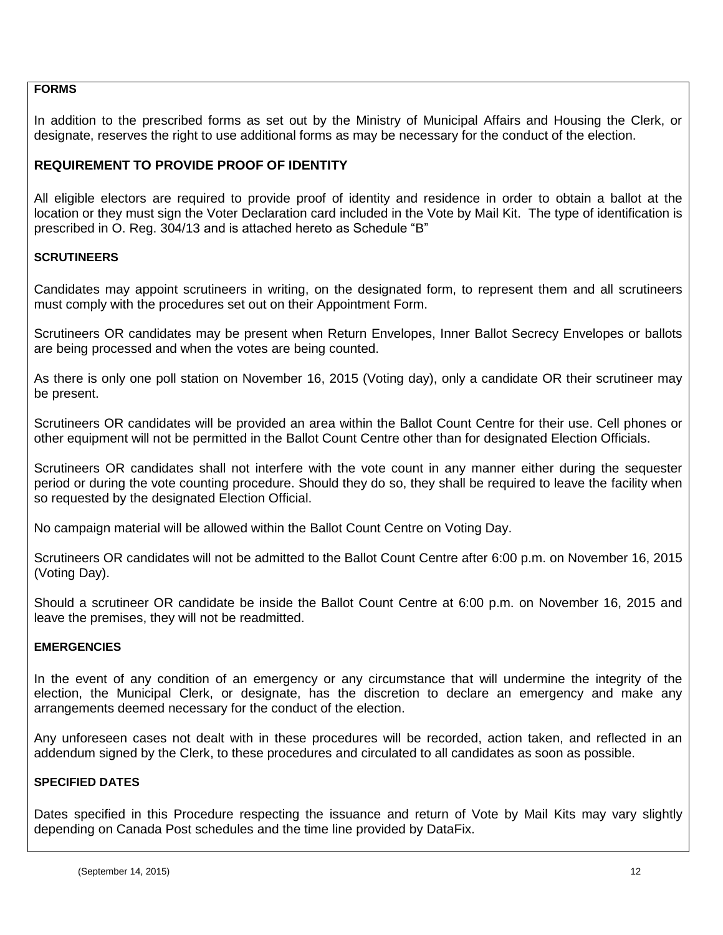#### <span id="page-11-0"></span>**FORMS**

In addition to the prescribed forms as set out by the Ministry of Municipal Affairs and Housing the Clerk, or designate, reserves the right to use additional forms as may be necessary for the conduct of the election.

### <span id="page-11-1"></span>**REQUIREMENT TO PROVIDE PROOF OF IDENTITY**

All eligible electors are required to provide proof of identity and residence in order to obtain a ballot at the location or they must sign the Voter Declaration card included in the Vote by Mail Kit. The type of identification is prescribed in O. Reg. 304/13 and is attached hereto as Schedule "B"

#### <span id="page-11-2"></span>**SCRUTINEERS**

Candidates may appoint scrutineers in writing, on the designated form, to represent them and all scrutineers must comply with the procedures set out on their Appointment Form.

Scrutineers OR candidates may be present when Return Envelopes, Inner Ballot Secrecy Envelopes or ballots are being processed and when the votes are being counted.

As there is only one poll station on November 16, 2015 (Voting day), only a candidate OR their scrutineer may be present.

Scrutineers OR candidates will be provided an area within the Ballot Count Centre for their use. Cell phones or other equipment will not be permitted in the Ballot Count Centre other than for designated Election Officials.

Scrutineers OR candidates shall not interfere with the vote count in any manner either during the sequester period or during the vote counting procedure. Should they do so, they shall be required to leave the facility when so requested by the designated Election Official.

No campaign material will be allowed within the Ballot Count Centre on Voting Day.

Scrutineers OR candidates will not be admitted to the Ballot Count Centre after 6:00 p.m. on November 16, 2015 (Voting Day).

Should a scrutineer OR candidate be inside the Ballot Count Centre at 6:00 p.m. on November 16, 2015 and leave the premises, they will not be readmitted.

#### <span id="page-11-3"></span>**EMERGENCIES**

In the event of any condition of an emergency or any circumstance that will undermine the integrity of the election, the Municipal Clerk, or designate, has the discretion to declare an emergency and make any arrangements deemed necessary for the conduct of the election.

Any unforeseen cases not dealt with in these procedures will be recorded, action taken, and reflected in an addendum signed by the Clerk, to these procedures and circulated to all candidates as soon as possible.

#### <span id="page-11-4"></span>**SPECIFIED DATES**

Dates specified in this Procedure respecting the issuance and return of Vote by Mail Kits may vary slightly depending on Canada Post schedules and the time line provided by DataFix.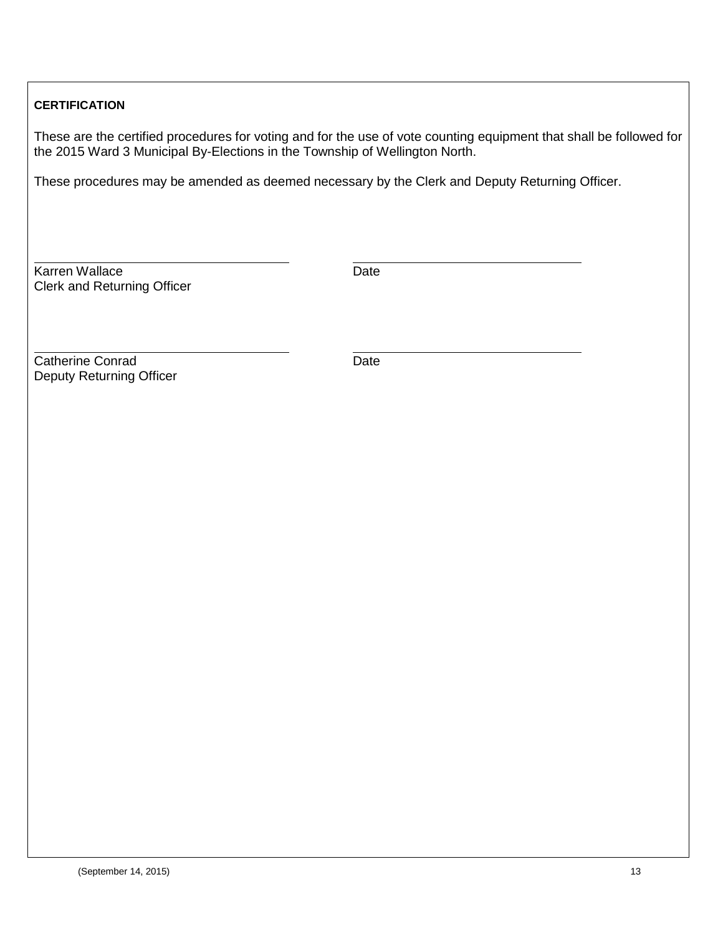## <span id="page-12-0"></span>**CERTIFICATION**

These are the certified procedures for voting and for the use of vote counting equipment that shall be followed for the 2015 Ward 3 Municipal By-Elections in the Township of Wellington North.

These procedures may be amended as deemed necessary by the Clerk and Deputy Returning Officer.

Karren Wallace **Date** Date Clerk and Returning Officer

**Catherine Conrad** Date Deputy Returning Officer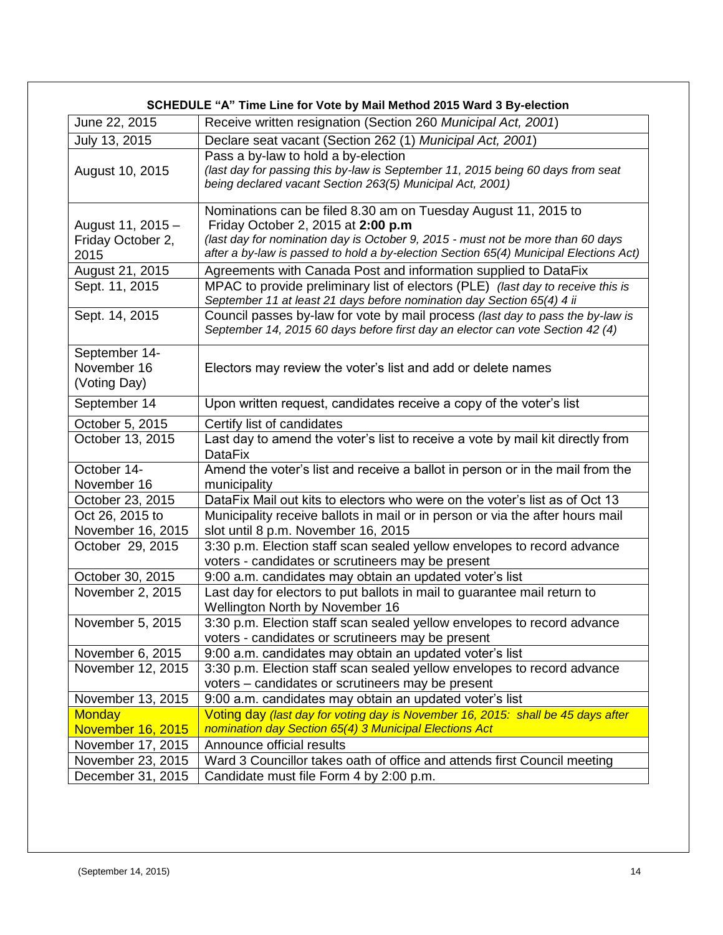<span id="page-13-0"></span>

|                   | SCHEDULE "A" Time Line for Vote by Mail Method 2015 Ward 3 By-election                                                                       |  |  |
|-------------------|----------------------------------------------------------------------------------------------------------------------------------------------|--|--|
| June 22, 2015     | Receive written resignation (Section 260 Municipal Act, 2001)                                                                                |  |  |
| July 13, 2015     | Declare seat vacant (Section 262 (1) Municipal Act, 2001)                                                                                    |  |  |
|                   | Pass a by-law to hold a by-election                                                                                                          |  |  |
| August 10, 2015   | (last day for passing this by-law is September 11, 2015 being 60 days from seat<br>being declared vacant Section 263(5) Municipal Act, 2001) |  |  |
|                   | Nominations can be filed 8.30 am on Tuesday August 11, 2015 to                                                                               |  |  |
| August 11, 2015 - | Friday October 2, 2015 at 2:00 p.m                                                                                                           |  |  |
| Friday October 2, | (last day for nomination day is October 9, 2015 - must not be more than 60 days                                                              |  |  |
| 2015              | after a by-law is passed to hold a by-election Section 65(4) Municipal Elections Act)                                                        |  |  |
| August 21, 2015   | Agreements with Canada Post and information supplied to DataFix                                                                              |  |  |
| Sept. 11, 2015    | MPAC to provide preliminary list of electors (PLE) (last day to receive this is                                                              |  |  |
|                   | September 11 at least 21 days before nomination day Section 65(4) 4 ii                                                                       |  |  |
| Sept. 14, 2015    | Council passes by-law for vote by mail process (last day to pass the by-law is                                                               |  |  |
|                   | September 14, 2015 60 days before first day an elector can vote Section 42 (4)                                                               |  |  |
| September 14-     |                                                                                                                                              |  |  |
| November 16       | Electors may review the voter's list and add or delete names                                                                                 |  |  |
| (Voting Day)      |                                                                                                                                              |  |  |
| September 14      | Upon written request, candidates receive a copy of the voter's list                                                                          |  |  |
| October 5, 2015   | Certify list of candidates                                                                                                                   |  |  |
| October 13, 2015  | Last day to amend the voter's list to receive a vote by mail kit directly from<br><b>DataFix</b>                                             |  |  |
| October 14-       | Amend the voter's list and receive a ballot in person or in the mail from the                                                                |  |  |
| November 16       | municipality                                                                                                                                 |  |  |
| October 23, 2015  | DataFix Mail out kits to electors who were on the voter's list as of Oct 13                                                                  |  |  |
| Oct 26, 2015 to   | Municipality receive ballots in mail or in person or via the after hours mail                                                                |  |  |
| November 16, 2015 | slot until 8 p.m. November 16, 2015                                                                                                          |  |  |
| October 29, 2015  | 3:30 p.m. Election staff scan sealed yellow envelopes to record advance                                                                      |  |  |
|                   | voters - candidates or scrutineers may be present                                                                                            |  |  |
| October 30, 2015  | 9:00 a.m. candidates may obtain an updated voter's list                                                                                      |  |  |
| November 2, 2015  | Last day for electors to put ballots in mail to guarantee mail return to                                                                     |  |  |
|                   | Wellington North by November 16                                                                                                              |  |  |
| November 5, 2015  | 3:30 p.m. Election staff scan sealed yellow envelopes to record advance                                                                      |  |  |
|                   | voters - candidates or scrutineers may be present                                                                                            |  |  |
| November 6, 2015  | 9:00 a.m. candidates may obtain an updated voter's list                                                                                      |  |  |
| November 12, 2015 | 3:30 p.m. Election staff scan sealed yellow envelopes to record advance                                                                      |  |  |
|                   | voters - candidates or scrutineers may be present                                                                                            |  |  |
| November 13, 2015 | 9:00 a.m. candidates may obtain an updated voter's list                                                                                      |  |  |
| <b>Monday</b>     | Voting day (last day for voting day is November 16, 2015: shall be 45 days after                                                             |  |  |
| November 16, 2015 | nomination day Section 65(4) 3 Municipal Elections Act                                                                                       |  |  |
| November 17, 2015 | Announce official results                                                                                                                    |  |  |
| November 23, 2015 | Ward 3 Councillor takes oath of office and attends first Council meeting                                                                     |  |  |
| December 31, 2015 | Candidate must file Form 4 by 2:00 p.m.                                                                                                      |  |  |
|                   |                                                                                                                                              |  |  |